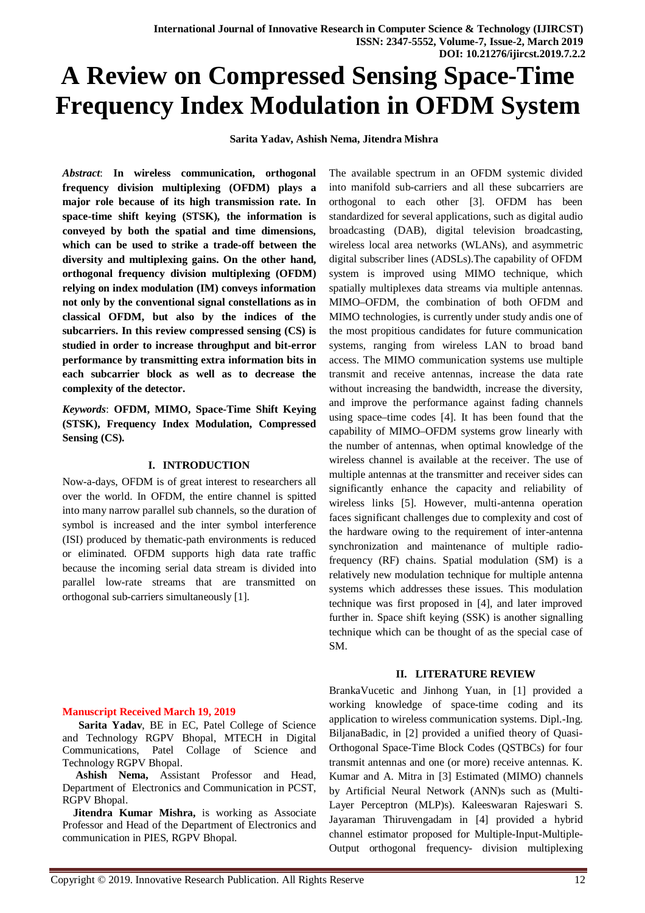# **A Review on Compressed Sensing Space-Time Frequency Index Modulation in OFDM System**

 **Sarita Yadav, Ashish Nema, Jitendra Mishra**

*Abstract*: **In wireless communication, orthogonal frequency division multiplexing (OFDM) plays a major role because of its high transmission rate. In space-time shift keying (STSK), the information is conveyed by both the spatial and time dimensions, which can be used to strike a trade-off between the diversity and multiplexing gains. On the other hand, orthogonal frequency division multiplexing (OFDM) relying on index modulation (IM) conveys information not only by the conventional signal constellations as in classical OFDM, but also by the indices of the subcarriers. In this review compressed sensing (CS) is studied in order to increase throughput and bit-error performance by transmitting extra information bits in each subcarrier block as well as to decrease the complexity of the detector.** 

*Keywords*: **OFDM, MIMO, Space-Time Shift Keying (STSK), Frequency Index Modulation, Compressed Sensing (CS).**

## **I. INTRODUCTION**

Now-a-days, OFDM is of great interest to researchers all over the world. In OFDM, the entire channel is spitted into many narrow parallel sub channels, so the duration of symbol is increased and the inter symbol interference (ISI) produced by thematic-path environments is reduced or eliminated. OFDM supports high data rate traffic because the incoming serial data stream is divided into parallel low-rate streams that are transmitted on orthogonal sub-carriers simultaneously [1].

# **Manuscript Received March 19, 2019**

 **Sarita Yadav**, BE in EC, Patel College of Science and Technology RGPV Bhopal, MTECH in Digital Communications, Patel Collage of Science and Technology RGPV Bhopal.

 **Ashish Nema,** Assistant Professor and Head, Department of Electronics and Communication in PCST, RGPV Bhopal.

 **Jitendra Kumar Mishra,** is working as Associate Professor and Head of the Department of Electronics and communication in PIES, RGPV Bhopal.

The available spectrum in an OFDM systemic divided into manifold sub-carriers and all these subcarriers are orthogonal to each other [3]. OFDM has been standardized for several applications, such as digital audio broadcasting (DAB), digital television broadcasting, wireless local area networks (WLANs), and asymmetric digital subscriber lines (ADSLs).The capability of OFDM system is improved using MIMO technique, which spatially multiplexes data streams via multiple antennas. MIMO–OFDM, the combination of both OFDM and MIMO technologies, is currently under study andis one of the most propitious candidates for future communication systems, ranging from wireless LAN to broad band access. The MIMO communication systems use multiple transmit and receive antennas, increase the data rate without increasing the bandwidth, increase the diversity, and improve the performance against fading channels using space–time codes [4]. It has been found that the capability of MIMO–OFDM systems grow linearly with the number of antennas, when optimal knowledge of the wireless channel is available at the receiver. The use of multiple antennas at the transmitter and receiver sides can significantly enhance the capacity and reliability of wireless links [5]. However, multi-antenna operation faces significant challenges due to complexity and cost of the hardware owing to the requirement of inter-antenna synchronization and maintenance of multiple radiofrequency (RF) chains. Spatial modulation (SM) is a relatively new modulation technique for multiple antenna systems which addresses these issues. This modulation technique was first proposed in [4], and later improved further in. Space shift keying (SSK) is another signalling technique which can be thought of as the special case of SM.

# **II. LITERATURE REVIEW**

BrankaVucetic and Jinhong Yuan, in [1] provided a working knowledge of space-time coding and its application to wireless communication systems. Dipl.-Ing. BiljanaBadic, in [2] provided a unified theory of Quasi-Orthogonal Space-Time Block Codes (QSTBCs) for four transmit antennas and one (or more) receive antennas. K. Kumar and A. Mitra in [3] Estimated (MIMO) channels by Artificial Neural Network (ANN)s such as (Multi-Layer Perceptron (MLP)s). Kaleeswaran Rajeswari S. Jayaraman Thiruvengadam in [4] provided a hybrid channel estimator proposed for Multiple-Input-Multiple-Output orthogonal frequency- division multiplexing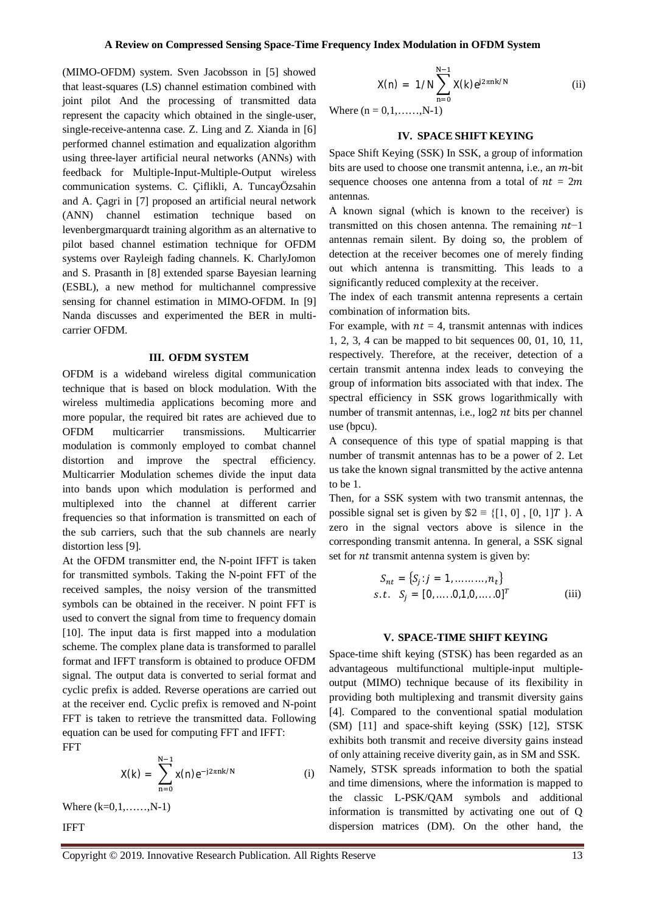(MIMO-OFDM) system. Sven Jacobsson in [5] showed that least-squares (LS) channel estimation combined with joint pilot And the processing of transmitted data represent the capacity which obtained in the single-user, single-receive-antenna case. Z. Ling and Z. Xianda in [6] performed channel estimation and equalization algorithm using three-layer artificial neural networks (ANNs) with feedback for Multiple-Input-Multiple-Output wireless communication systems. C. Çiflikli, A. TuncayÖzsahin and A. Çagri in [7] proposed an artificial neural network (ANN) channel estimation technique based on levenbergmarquardt training algorithm as an alternative to pilot based channel estimation technique for OFDM systems over Rayleigh fading channels. K. CharlyJomon and S. Prasanth in [8] extended sparse Bayesian learning (ESBL), a new method for multichannel compressive sensing for channel estimation in MIMO-OFDM. In [9] Nanda discusses and experimented the BER in multicarrier OFDM.

#### **III. OFDM SYSTEM**

OFDM is a wideband wireless digital communication technique that is based on block modulation. With the wireless multimedia applications becoming more and more popular, the required bit rates are achieved due to OFDM multicarrier transmissions. Multicarrier modulation is commonly employed to combat channel distortion and improve the spectral efficiency. Multicarrier Modulation schemes divide the input data into bands upon which modulation is performed and multiplexed into the channel at different carrier frequencies so that information is transmitted on each of the sub carriers, such that the sub channels are nearly distortion less [9].

At the OFDM transmitter end, the N-point IFFT is taken for transmitted symbols. Taking the N-point FFT of the received samples, the noisy version of the transmitted symbols can be obtained in the receiver. N point FFT is used to convert the signal from time to frequency domain [10]. The input data is first mapped into a modulation scheme. The complex plane data is transformed to parallel format and IFFT transform is obtained to produce OFDM signal. The output data is converted to serial format and cyclic prefix is added. Reverse operations are carried out at the receiver end. Cyclic prefix is removed and N-point FFT is taken to retrieve the transmitted data. Following equation can be used for computing FFT and IFFT: FFT

$$
X(k) = \sum_{n=0}^{N-1} x(n) e^{-j2\pi n k/N}
$$
 (i)

Where (k=0,1,……,N-1)

IFFT

$$
X(n) = 1/N \sum_{n=0}^{N-1} X(k) e^{j2\pi n k/N}
$$
 (ii)

Where  $(n = 0, 1, \ldots, N-1)$ 

#### **IV. SPACE SHIFT KEYING**

Space Shift Keying (SSK) In SSK, a group of information bits are used to choose one transmit antenna, i.e., an  $m$ -bit sequence chooses one antenna from a total of  $nt = 2m$ antennas.

A known signal (which is known to the receiver) is transmitted on this chosen antenna. The remaining  $nt-1$ antennas remain silent. By doing so, the problem of detection at the receiver becomes one of merely finding out which antenna is transmitting. This leads to a significantly reduced complexity at the receiver.

The index of each transmit antenna represents a certain combination of information bits.

For example, with  $nt = 4$ , transmit antennas with indices 1, 2, 3, 4 can be mapped to bit sequences 00, 01, 10, 11, respectively. Therefore, at the receiver, detection of a certain transmit antenna index leads to conveying the group of information bits associated with that index. The spectral efficiency in SSK grows logarithmically with number of transmit antennas, i.e.,  $log 2 nt$  bits per channel use (bpcu).

A consequence of this type of spatial mapping is that number of transmit antennas has to be a power of 2. Let us take the known signal transmitted by the active antenna to be 1.

Then, for a SSK system with two transmit antennas, the possible signal set is given by  $\mathbb{S}2 \equiv \{ [1, 0], [0, 1]T \}$ . A zero in the signal vectors above is silence in the corresponding transmit antenna. In general, a SSK signal set for *nt* transmit antenna system is given by:

$$
S_{nt} = \{S_j : j = 1, ..., ..., n_t\}
$$
  
s.t.  $S_j = [0, ..., 0, 1, 0, ..., 0]^T$  (iii)

#### **V. SPACE-TIME SHIFT KEYING**

Space-time shift keying (STSK) has been regarded as an advantageous multifunctional multiple-input multipleoutput (MIMO) technique because of its flexibility in providing both multiplexing and transmit diversity gains [4]. Compared to the conventional spatial modulation (SM) [11] and space-shift keying (SSK) [12], STSK exhibits both transmit and receive diversity gains instead of only attaining receive diverity gain, as in SM and SSK. Namely, STSK spreads information to both the spatial and time dimensions, where the information is mapped to the classic L-PSK/QAM symbols and additional information is transmitted by activating one out of Q dispersion matrices (DM). On the other hand, the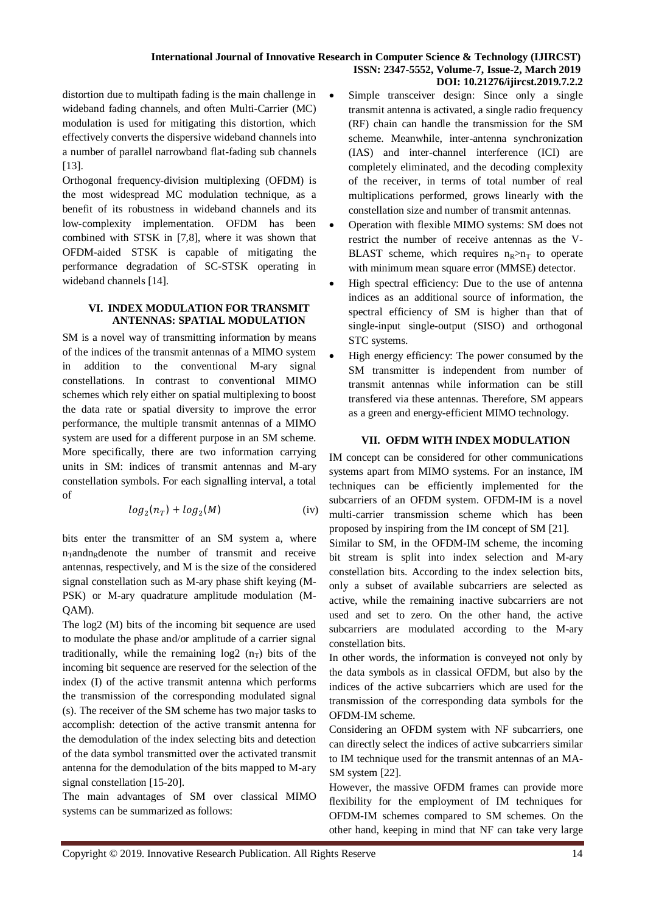distortion due to multipath fading is the main challenge in wideband fading channels, and often Multi-Carrier (MC) modulation is used for mitigating this distortion, which effectively converts the dispersive wideband channels into a number of parallel narrowband flat-fading sub channels [13].

Orthogonal frequency-division multiplexing (OFDM) is the most widespread MC modulation technique, as a benefit of its robustness in wideband channels and its low-complexity implementation. OFDM has been combined with STSK in [7,8], where it was shown that OFDM-aided STSK is capable of mitigating the performance degradation of SC-STSK operating in wideband channels [14].

## **VI. INDEX MODULATION FOR TRANSMIT ANTENNAS: SPATIAL MODULATION**

SM is a novel way of transmitting information by means of the indices of the transmit antennas of a MIMO system in addition to the conventional M-ary signal constellations. In contrast to conventional MIMO schemes which rely either on spatial multiplexing to boost the data rate or spatial diversity to improve the error performance, the multiple transmit antennas of a MIMO system are used for a different purpose in an SM scheme. More specifically, there are two information carrying units in SM: indices of transmit antennas and M-ary constellation symbols. For each signalling interval, a total of

$$
log_2(n_T) + log_2(M)
$$
 (iv)

bits enter the transmitter of an SM system a, where  $n_{\text{rad}}$  n-andn<sub>r</sub> denote the number of transmit and receive antennas, respectively, and M is the size of the considered signal constellation such as M-ary phase shift keying (M-PSK) or M-ary quadrature amplitude modulation (M-QAM).

The log2 (M) bits of the incoming bit sequence are used to modulate the phase and/or amplitude of a carrier signal traditionally, while the remaining  $log2(n_T)$  bits of the incoming bit sequence are reserved for the selection of the index (I) of the active transmit antenna which performs the transmission of the corresponding modulated signal (s). The receiver of the SM scheme has two major tasks to accomplish: detection of the active transmit antenna for the demodulation of the index selecting bits and detection of the data symbol transmitted over the activated transmit antenna for the demodulation of the bits mapped to M-ary signal constellation [15-20].

The main advantages of SM over classical MIMO systems can be summarized as follows:

- Simple transceiver design: Since only a single transmit antenna is activated, a single radio frequency (RF) chain can handle the transmission for the SM scheme. Meanwhile, inter-antenna synchronization (IAS) and inter-channel interference (ICI) are completely eliminated, and the decoding complexity of the receiver, in terms of total number of real multiplications performed, grows linearly with the constellation size and number of transmit antennas.
- Operation with flexible MIMO systems: SM does not restrict the number of receive antennas as the V-BLAST scheme, which requires  $n_R > n_T$  to operate with minimum mean square error (MMSE) detector.
- High spectral efficiency: Due to the use of antenna indices as an additional source of information, the spectral efficiency of SM is higher than that of single-input single-output (SISO) and orthogonal STC systems.
- High energy efficiency: The power consumed by the SM transmitter is independent from number of transmit antennas while information can be still transfered via these antennas. Therefore, SM appears as a green and energy-efficient MIMO technology.

# **VII. OFDM WITH INDEX MODULATION**

IM concept can be considered for other communications systems apart from MIMO systems. For an instance, IM techniques can be efficiently implemented for the subcarriers of an OFDM system. OFDM-IM is a novel multi-carrier transmission scheme which has been proposed by inspiring from the IM concept of SM [21].

Similar to SM, in the OFDM-IM scheme, the incoming bit stream is split into index selection and M-ary constellation bits. According to the index selection bits, only a subset of available subcarriers are selected as active, while the remaining inactive subcarriers are not used and set to zero. On the other hand, the active subcarriers are modulated according to the M-ary constellation bits.

In other words, the information is conveyed not only by the data symbols as in classical OFDM, but also by the indices of the active subcarriers which are used for the transmission of the corresponding data symbols for the OFDM-IM scheme.

Considering an OFDM system with NF subcarriers, one can directly select the indices of active subcarriers similar to IM technique used for the transmit antennas of an MA-SM system [22].

However, the massive OFDM frames can provide more flexibility for the employment of IM techniques for OFDM-IM schemes compared to SM schemes. On the other hand, keeping in mind that NF can take very large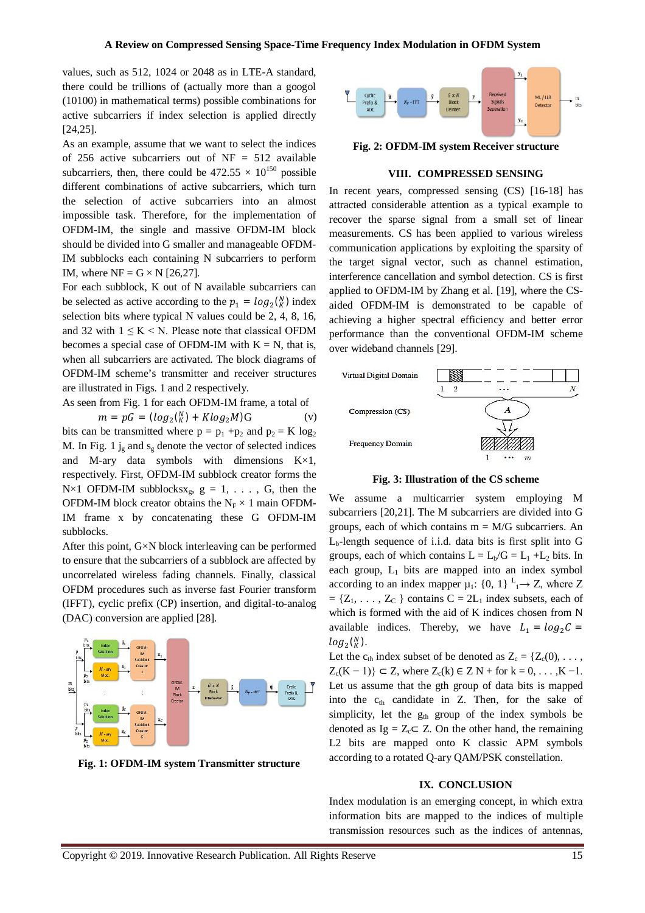values, such as 512, 1024 or 2048 as in LTE-A standard, there could be trillions of (actually more than a googol (10100) in mathematical terms) possible combinations for active subcarriers if index selection is applied directly [24,25].

As an example, assume that we want to select the indices of 256 active subcarriers out of  $NF = 512$  available subcarriers, then, there could be  $472.55 \times 10^{150}$  possible different combinations of active subcarriers, which turn the selection of active subcarriers into an almost impossible task. Therefore, for the implementation of OFDM-IM, the single and massive OFDM-IM block should be divided into G smaller and manageable OFDM-IM subblocks each containing N subcarriers to perform IM, where  $NF = G \times N$  [26,27].

For each subblock, K out of N available subcarriers can be selected as active according to the  $p_1 = log_2(\frac{N}{K})$  index selection bits where typical N values could be 2, 4, 8, 16, and 32 with  $1 \leq K \leq N$ . Please note that classical OFDM becomes a special case of OFDM-IM with  $K = N$ , that is, when all subcarriers are activated. The block diagrams of OFDM-IM scheme's transmitter and receiver structures are illustrated in Figs. 1 and 2 respectively.

As seen from Fig. 1 for each OFDM-IM frame, a total of

 $m = pG = (log_2\binom{N}{K} + Klog_2M)G$  (v) bits can be transmitted where  $p = p_1 + p_2$  and  $p_2 = K \log_2$ M. In Fig. 1  $j_g$  and  $s_g$  denote the vector of selected indices and M-ary data symbols with dimensions K×1, respectively. First, OFDM-IM subblock creator forms the  $N \times 1$  OFDM-IM subblocksx<sub>g</sub>,  $g = 1, \ldots$ , G, then the OFDM-IM block creator obtains the  $N_F \times 1$  main OFDM-IM frame x by concatenating these G OFDM-IM subblocks.

After this point, G×N block interleaving can be performed to ensure that the subcarriers of a subblock are affected by uncorrelated wireless fading channels. Finally, classical OFDM procedures such as inverse fast Fourier transform (IFFT), cyclic prefix (CP) insertion, and digital-to-analog (DAC) conversion are applied [28].



**Fig. 1: OFDM-IM system Transmitter structure**



**Fig. 2: OFDM-IM system Receiver structure**

## **VIII. COMPRESSED SENSING**

In recent years, compressed sensing (CS) [16-18] has attracted considerable attention as a typical example to recover the sparse signal from a small set of linear measurements. CS has been applied to various wireless communication applications by exploiting the sparsity of the target signal vector, such as channel estimation, interference cancellation and symbol detection. CS is first applied to OFDM-IM by Zhang et al. [19], where the CSaided OFDM-IM is demonstrated to be capable of achieving a higher spectral efficiency and better error performance than the conventional OFDM-IM scheme over wideband channels [29].



**Fig. 3: Illustration of the CS scheme**

We assume a multicarrier system employing M subcarriers [20,21]. The M subcarriers are divided into G groups, each of which contains  $m = M/G$  subcarriers. An  $L<sub>b</sub>$ -length sequence of i.i.d. data bits is first split into G groups, each of which contains  $L = L_b/G = L_1 + L_2$  bits. In each group,  $L_1$  bits are mapped into an index symbol according to an index mapper  $\mu_1$ : {0, 1}  $L_1 \rightarrow Z$ , where Z  $= \{Z_1, \ldots, Z_C\}$  contains  $C = 2L_1$  index subsets, each of which is formed with the aid of K indices chosen from N available indices. Thereby, we have  $L_1 = \log_2 C =$  $log_2({}^N_K)$ .

Let the  $c_{th}$  index subset of be denoted as  $Z_c = \{Z_c(0), \ldots, Z_c\}$  $Z_c(K - 1)$ } ⊂ Z, where  $Z_c(k) \in Z N +$  for  $k = 0, ..., K - 1$ . Let us assume that the gth group of data bits is mapped into the  $c<sub>th</sub>$  candidate in Z. Then, for the sake of simplicity, let the  $g_{th}$  group of the index symbols be denoted as  $Ig = Z_c \subset Z$ . On the other hand, the remaining L2 bits are mapped onto K classic APM symbols according to a rotated Q-ary QAM/PSK constellation.

#### **IX. CONCLUSION**

Index modulation is an emerging concept, in which extra information bits are mapped to the indices of multiple transmission resources such as the indices of antennas,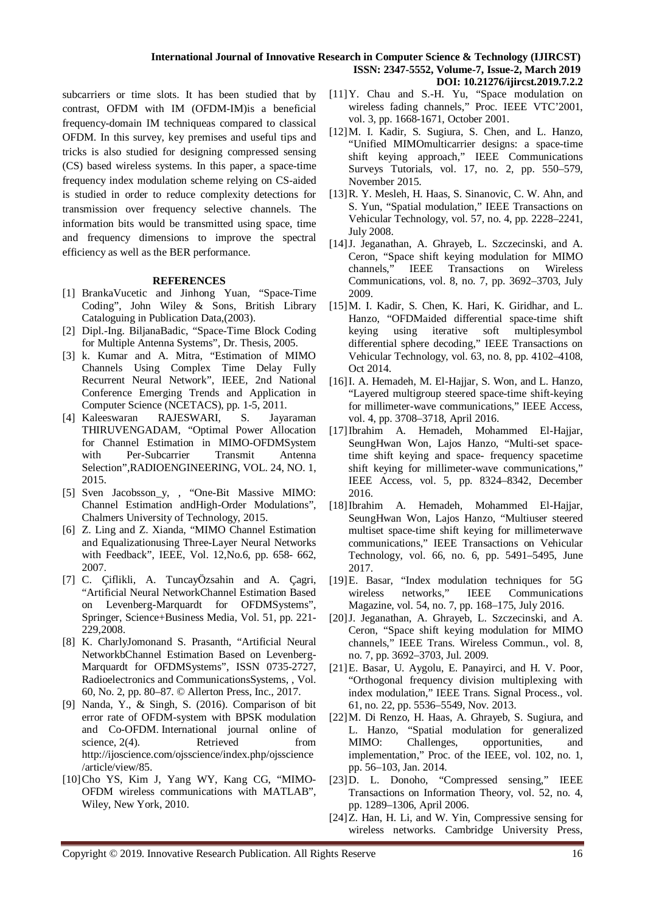#### **International Journal of Innovative Research in Computer Science & Technology (IJIRCST) ISSN: 2347-5552, Volume-7, Issue-2, March 2019 DOI: 10.21276/ijircst.2019.7.2.2**

subcarriers or time slots. It has been studied that by contrast, OFDM with IM (OFDM-IM)is a beneficial frequency-domain IM techniqueas compared to classical OFDM. In this survey, key premises and useful tips and tricks is also studied for designing compressed sensing (CS) based wireless systems. In this paper, a space-time frequency index modulation scheme relying on CS-aided is studied in order to reduce complexity detections for transmission over frequency selective channels. The information bits would be transmitted using space, time and frequency dimensions to improve the spectral efficiency as well as the BER performance.

## **REFERENCES**

- [1] BrankaVucetic and Jinhong Yuan, "Space-Time Coding", John Wiley & Sons, British Library Cataloguing in Publication Data,(2003).
- [2] Dipl.-Ing. BiljanaBadic, "Space-Time Block Coding for Multiple Antenna Systems", Dr. Thesis, 2005.
- [3] k. Kumar and A. Mitra, "Estimation of MIMO Channels Using Complex Time Delay Fully Recurrent Neural Network", IEEE, 2nd National Conference Emerging Trends and Application in Computer Science (NCETACS), pp. 1-5, 2011.<br>Kaleeswaran RAJESWARI, S. Jaya
- [4] Kaleeswaran RAJESWARI, S. Jayaraman THIRUVENGADAM, "Optimal Power Allocation for Channel Estimation in MIMO-OFDMSystem with Per-Subcarrier Transmit Antenna Selection",RADIOENGINEERING, VOL. 24, NO. 1, 2015.
- [5] Sven Jacobsson\_y, , "One-Bit Massive MIMO: Channel Estimation andHigh-Order Modulations", Chalmers University of Technology, 2015.
- [6] Z. Ling and Z. Xianda, "MIMO Channel Estimation and Equalizationusing Three-Layer Neural Networks with Feedback", IEEE, Vol. 12,No.6, pp. 658- 662, 2007.
- [7] C. Çiflikli, A. TuncayÖzsahin and A. Çagri, "Artificial Neural NetworkChannel Estimation Based on Levenberg-Marquardt for OFDMSystems", Springer, Science+Business Media, Vol. 51, pp. 221- 229,2008.
- [8] K. CharlyJomonand S. Prasanth, "Artificial Neural NetworkbChannel Estimation Based on Levenberg-Marquardt for OFDMSystems", ISSN 0735-2727, Radioelectronics and CommunicationsSystems, , Vol. 60, No. 2, pp. 80–87. © Allerton Press, Inc., 2017.
- [9] Nanda, Y., & Singh, S. (2016). Comparison of bit error rate of OFDM-system with BPSK modulation and Co-OFDM. International journal online of science, 2(4). Retrieved from http://ijoscience.com/ojsscience/index.php/ojsscience /article/view/85.
- [10]Cho YS, Kim J, Yang WY, Kang CG, "MIMO-OFDM wireless communications with MATLAB", Wiley, New York, 2010.
- [11]Y. Chau and S.-H. Yu, "Space modulation on wireless fading channels," Proc. IEEE VTC'2001, vol. 3, pp. 1668-1671, October 2001.
- [12]M. I. Kadir, S. Sugiura, S. Chen, and L. Hanzo, "Unified MIMOmulticarrier designs: a space-time shift keying approach," IEEE Communications Surveys Tutorials, vol. 17, no. 2, pp. 550–579, November 2015.
- [13]R. Y. Mesleh, H. Haas, S. Sinanovic, C. W. Ahn, and S. Yun, "Spatial modulation," IEEE Transactions on Vehicular Technology, vol. 57, no. 4, pp. 2228–2241, July 2008.
- [14]J. Jeganathan, A. Ghrayeb, L. Szczecinski, and A. Ceron, "Space shift keying modulation for MIMO<br>channels," IEEE Transactions on Wireless channels," IEEE Transactions on Communications, vol. 8, no. 7, pp. 3692–3703, July 2009.
- [15]M. I. Kadir, S. Chen, K. Hari, K. Giridhar, and L. Hanzo, "OFDMaided differential space-time shift keying using iterative soft multiplesymbol differential sphere decoding," IEEE Transactions on Vehicular Technology, vol. 63, no. 8, pp. 4102–4108, Oct 2014.
- [16]I. A. Hemadeh, M. El-Hajjar, S. Won, and L. Hanzo, "Layered multigroup steered space-time shift-keying for millimeter-wave communications," IEEE Access, vol. 4, pp. 3708–3718, April 2016.
- [17]Ibrahim A. Hemadeh, Mohammed El-Hajjar, SeungHwan Won, Lajos Hanzo, "Multi-set spacetime shift keying and space- frequency spacetime shift keying for millimeter-wave communications," IEEE Access, vol. 5, pp. 8324–8342, December 2016.
- [18]Ibrahim A. Hemadeh, Mohammed El-Hajjar, SeungHwan Won, Lajos Hanzo, "Multiuser steered multiset space-time shift keying for millimeterwave communications," IEEE Transactions on Vehicular Technology, vol. 66, no. 6, pp. 5491–5495, June 2017.
- [19]E. Basar, "Index modulation techniques for 5G wireless networks," IEEE Communications Magazine, vol. 54, no. 7, pp. 168–175, July 2016.
- [20]J. Jeganathan, A. Ghrayeb, L. Szczecinski, and A. Ceron, "Space shift keying modulation for MIMO channels," IEEE Trans. Wireless Commun., vol. 8, no. 7, pp. 3692–3703, Jul. 2009.
- [21]E. Basar, U. Aygolu, E. Panayirci, and H. V. Poor, "Orthogonal frequency division multiplexing with index modulation," IEEE Trans. Signal Process., vol. 61, no. 22, pp. 5536–5549, Nov. 2013.
- [22]M. Di Renzo, H. Haas, A. Ghrayeb, S. Sugiura, and L. Hanzo, "Spatial modulation for generalized MIMO: Challenges, opportunities, and implementation," Proc. of the IEEE, vol. 102, no. 1, pp. 56–103, Jan. 2014.
- [23]D. L. Donoho, "Compressed sensing," IEEE Transactions on Information Theory, vol. 52, no. 4, pp. 1289–1306, April 2006.
- [24]Z. Han, H. Li, and W. Yin, Compressive sensing for wireless networks. Cambridge University Press,